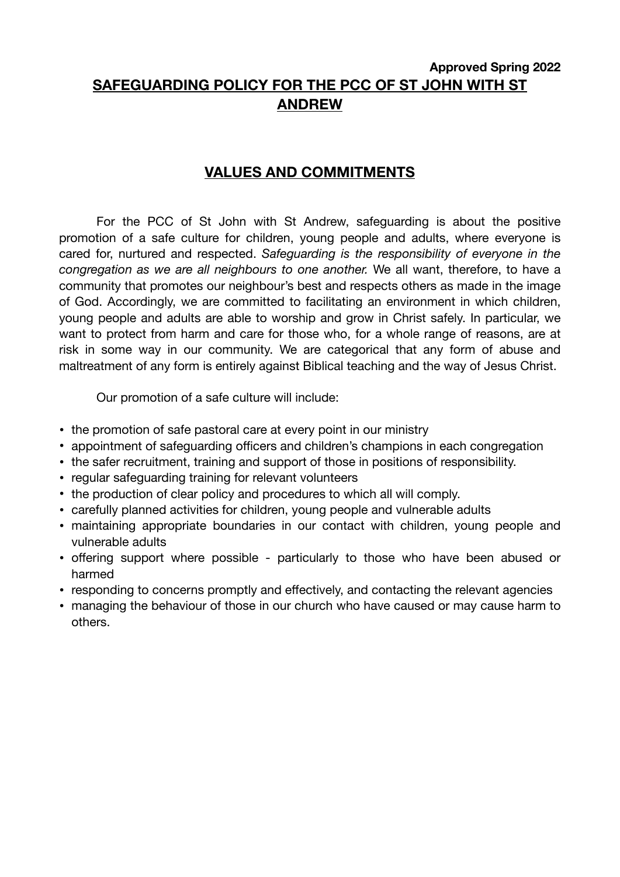# **Approved Spring 2022 SAFEGUARDING POLICY FOR THE PCC OF ST JOHN WITH ST ANDREW**

# **VALUES AND COMMITMENTS**

For the PCC of St John with St Andrew, safeguarding is about the positive promotion of a safe culture for children, young people and adults, where everyone is cared for, nurtured and respected. *Safeguarding is the responsibility of everyone in the congregation as we are all neighbours to one another.* We all want, therefore, to have a community that promotes our neighbour's best and respects others as made in the image of God. Accordingly, we are committed to facilitating an environment in which children, young people and adults are able to worship and grow in Christ safely. In particular, we want to protect from harm and care for those who, for a whole range of reasons, are at risk in some way in our community. We are categorical that any form of abuse and maltreatment of any form is entirely against Biblical teaching and the way of Jesus Christ.

Our promotion of a safe culture will include:

- the promotion of safe pastoral care at every point in our ministry
- appointment of safeguarding officers and children's champions in each congregation
- the safer recruitment, training and support of those in positions of responsibility.
- regular safeguarding training for relevant volunteers
- the production of clear policy and procedures to which all will comply.
- carefully planned activities for children, young people and vulnerable adults
- maintaining appropriate boundaries in our contact with children, young people and vulnerable adults
- offering support where possible particularly to those who have been abused or harmed
- responding to concerns promptly and effectively, and contacting the relevant agencies
- managing the behaviour of those in our church who have caused or may cause harm to others.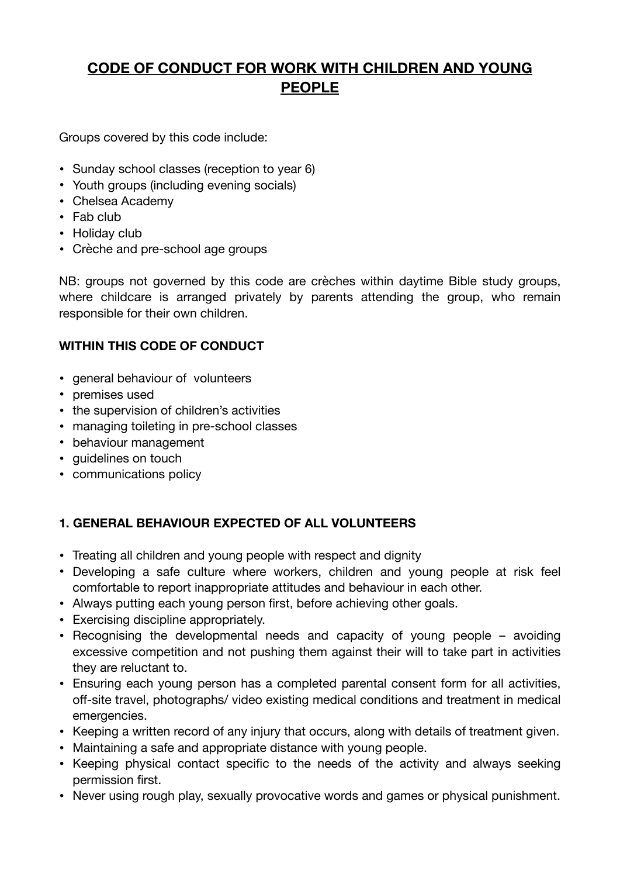# **CODE OF CONDUCT FOR WORK WITH CHILDREN AND YOUNG PEOPLE**

Groups covered by this code include:

- Sunday school classes (reception to year 6)
- Youth groups (including evening socials)
- Chelsea Academy
- Fab club
- Holiday club
- Crèche and pre-school age groups

NB: groups not governed by this code are crèches within daytime Bible study groups, where childcare is arranged privately by parents attending the group, who remain responsible for their own children.

## **WITHIN THIS CODE OF CONDUCT**

- general behaviour of volunteers
- premises used
- the supervision of children's activities
- managing toileting in pre-school classes
- behaviour management
- guidelines on touch
- communications policy

# **1. GENERAL BEHAVIOUR EXPECTED OF ALL VOLUNTEERS**

- Treating all children and young people with respect and dignity
- Developing a safe culture where workers, children and young people at risk feel comfortable to report inappropriate attitudes and behaviour in each other.
- Always putting each young person first, before achieving other goals.
- Exercising discipline appropriately.
- Recognising the developmental needs and capacity of young people avoiding excessive competition and not pushing them against their will to take part in activities they are reluctant to.
- Ensuring each young person has a completed parental consent form for all activities, off-site travel, photographs/ video existing medical conditions and treatment in medical emergencies.
- Keeping a written record of any injury that occurs, along with details of treatment given.
- Maintaining a safe and appropriate distance with young people.
- Keeping physical contact specific to the needs of the activity and always seeking permission first.
- Never using rough play, sexually provocative words and games or physical punishment.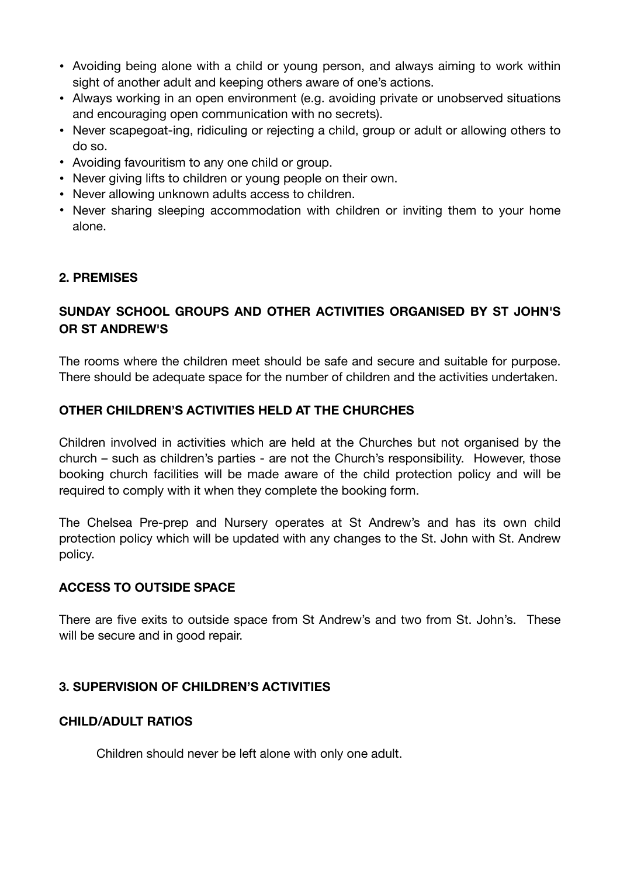- Avoiding being alone with a child or young person, and always aiming to work within sight of another adult and keeping others aware of one's actions.
- Always working in an open environment (e.g. avoiding private or unobserved situations and encouraging open communication with no secrets).
- Never scapegoat-ing, ridiculing or rejecting a child, group or adult or allowing others to do so.
- Avoiding favouritism to any one child or group.
- Never giving lifts to children or young people on their own.
- Never allowing unknown adults access to children.
- Never sharing sleeping accommodation with children or inviting them to your home alone.

## **2. PREMISES**

# **SUNDAY SCHOOL GROUPS AND OTHER ACTIVITIES ORGANISED BY ST JOHN'S OR ST ANDREW'S**

The rooms where the children meet should be safe and secure and suitable for purpose. There should be adequate space for the number of children and the activities undertaken.

## **OTHER CHILDREN'S ACTIVITIES HELD AT THE CHURCHES**

Children involved in activities which are held at the Churches but not organised by the church – such as children's parties - are not the Church's responsibility. However, those booking church facilities will be made aware of the child protection policy and will be required to comply with it when they complete the booking form.

The Chelsea Pre-prep and Nursery operates at St Andrew's and has its own child protection policy which will be updated with any changes to the St. John with St. Andrew policy.

### **ACCESS TO OUTSIDE SPACE**

There are five exits to outside space from St Andrew's and two from St. John's. These will be secure and in good repair.

### **3. SUPERVISION OF CHILDREN'S ACTIVITIES**

### **CHILD/ADULT RATIOS**

Children should never be left alone with only one adult.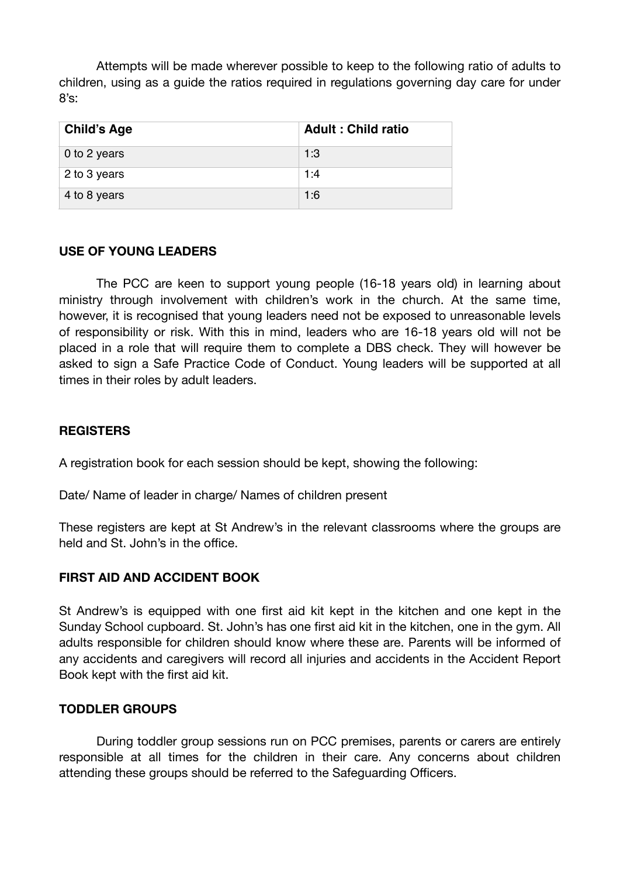Attempts will be made wherever possible to keep to the following ratio of adults to children, using as a guide the ratios required in regulations governing day care for under 8's:

| <b>Child's Age</b> | <b>Adult: Child ratio</b> |
|--------------------|---------------------------|
| 0 to 2 years       | 1:3                       |
| 2 to 3 years       | 1:4                       |
| 4 to 8 years       | 1:6                       |

#### **USE OF YOUNG LEADERS**

The PCC are keen to support young people (16-18 years old) in learning about ministry through involvement with children's work in the church. At the same time, however, it is recognised that young leaders need not be exposed to unreasonable levels of responsibility or risk. With this in mind, leaders who are 16-18 years old will not be placed in a role that will require them to complete a DBS check. They will however be asked to sign a Safe Practice Code of Conduct. Young leaders will be supported at all times in their roles by adult leaders.

### **REGISTERS**

A registration book for each session should be kept, showing the following:

Date/ Name of leader in charge/ Names of children present

These registers are kept at St Andrew's in the relevant classrooms where the groups are held and St. John's in the office.

### **FIRST AID AND ACCIDENT BOOK**

St Andrew's is equipped with one first aid kit kept in the kitchen and one kept in the Sunday School cupboard. St. John's has one first aid kit in the kitchen, one in the gym. All adults responsible for children should know where these are. Parents will be informed of any accidents and caregivers will record all injuries and accidents in the Accident Report Book kept with the first aid kit.

#### **TODDLER GROUPS**

During toddler group sessions run on PCC premises, parents or carers are entirely responsible at all times for the children in their care. Any concerns about children attending these groups should be referred to the Safeguarding Officers.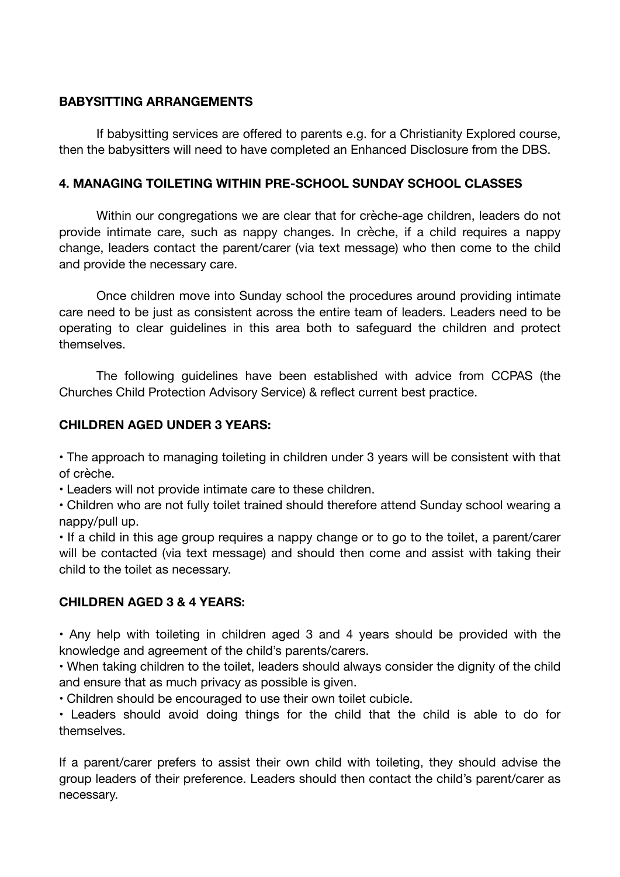#### **BABYSITTING ARRANGEMENTS**

If babysitting services are offered to parents e.g. for a Christianity Explored course, then the babysitters will need to have completed an Enhanced Disclosure from the DBS.

#### **4. MANAGING TOILETING WITHIN PRE-SCHOOL SUNDAY SCHOOL CLASSES**

Within our congregations we are clear that for crèche-age children, leaders do not provide intimate care, such as nappy changes. In crèche, if a child requires a nappy change, leaders contact the parent/carer (via text message) who then come to the child and provide the necessary care.

Once children move into Sunday school the procedures around providing intimate care need to be just as consistent across the entire team of leaders. Leaders need to be operating to clear guidelines in this area both to safeguard the children and protect themselves.

The following guidelines have been established with advice from CCPAS (the Churches Child Protection Advisory Service) & reflect current best practice.

#### **CHILDREN AGED UNDER 3 YEARS:**

• The approach to managing toileting in children under 3 years will be consistent with that of crèche.

• Leaders will not provide intimate care to these children.

• Children who are not fully toilet trained should therefore attend Sunday school wearing a nappy/pull up.

• If a child in this age group requires a nappy change or to go to the toilet, a parent/carer will be contacted (via text message) and should then come and assist with taking their child to the toilet as necessary.

### **CHILDREN AGED 3 & 4 YEARS:**

• Any help with toileting in children aged 3 and 4 years should be provided with the knowledge and agreement of the child's parents/carers.

• When taking children to the toilet, leaders should always consider the dignity of the child and ensure that as much privacy as possible is given.

• Children should be encouraged to use their own toilet cubicle.

• Leaders should avoid doing things for the child that the child is able to do for themselves.

If a parent/carer prefers to assist their own child with toileting, they should advise the group leaders of their preference. Leaders should then contact the child's parent/carer as necessary.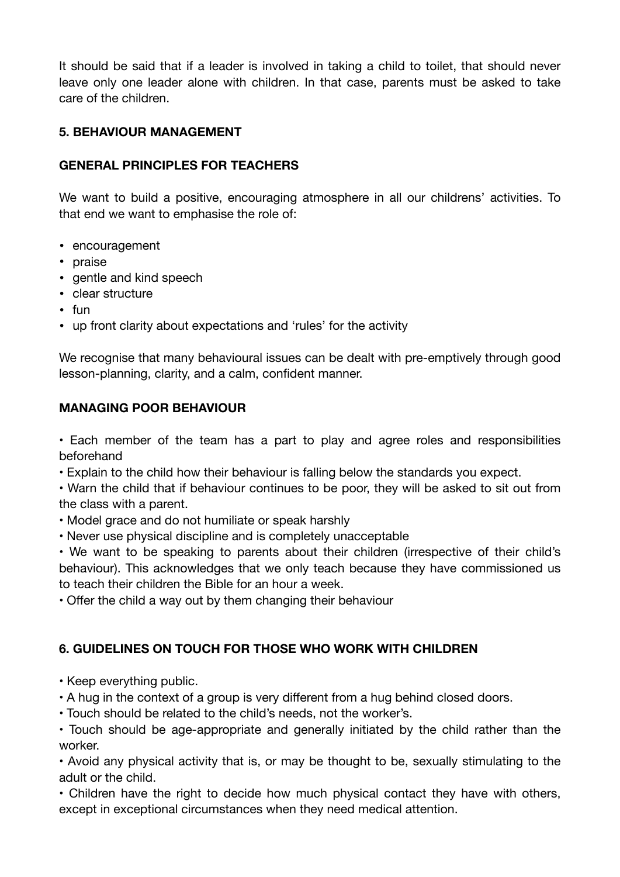It should be said that if a leader is involved in taking a child to toilet, that should never leave only one leader alone with children. In that case, parents must be asked to take care of the children.

# **5. BEHAVIOUR MANAGEMENT**

## **GENERAL PRINCIPLES FOR TEACHERS**

We want to build a positive, encouraging atmosphere in all our childrens' activities. To that end we want to emphasise the role of:

- encouragement
- praise
- gentle and kind speech
- clear structure
- fun
- up front clarity about expectations and 'rules' for the activity

We recognise that many behavioural issues can be dealt with pre-emptively through good lesson-planning, clarity, and a calm, confident manner.

#### **MANAGING POOR BEHAVIOUR**

• Each member of the team has a part to play and agree roles and responsibilities beforehand

• Explain to the child how their behaviour is falling below the standards you expect.

• Warn the child that if behaviour continues to be poor, they will be asked to sit out from the class with a parent.

• Model grace and do not humiliate or speak harshly

• Never use physical discipline and is completely unacceptable

• We want to be speaking to parents about their children (irrespective of their child's behaviour). This acknowledges that we only teach because they have commissioned us to teach their children the Bible for an hour a week.

• Offer the child a way out by them changing their behaviour

# **6. GUIDELINES ON TOUCH FOR THOSE WHO WORK WITH CHILDREN**

- Keep everything public.
- A hug in the context of a group is very different from a hug behind closed doors.
- Touch should be related to the child's needs, not the worker's.

• Touch should be age-appropriate and generally initiated by the child rather than the worker.

• Avoid any physical activity that is, or may be thought to be, sexually stimulating to the adult or the child.

• Children have the right to decide how much physical contact they have with others, except in exceptional circumstances when they need medical attention.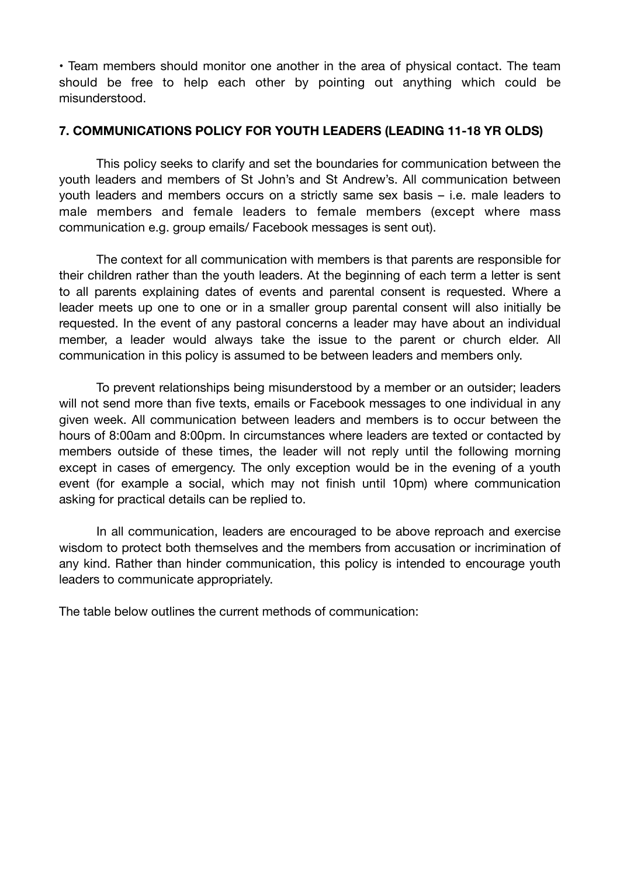• Team members should monitor one another in the area of physical contact. The team should be free to help each other by pointing out anything which could be misunderstood.

### **7. COMMUNICATIONS POLICY FOR YOUTH LEADERS (LEADING 11-18 YR OLDS)**

This policy seeks to clarify and set the boundaries for communication between the youth leaders and members of St John's and St Andrew's. All communication between youth leaders and members occurs on a strictly same sex basis – i.e. male leaders to male members and female leaders to female members (except where mass communication e.g. group emails/ Facebook messages is sent out).

The context for all communication with members is that parents are responsible for their children rather than the youth leaders. At the beginning of each term a letter is sent to all parents explaining dates of events and parental consent is requested. Where a leader meets up one to one or in a smaller group parental consent will also initially be requested. In the event of any pastoral concerns a leader may have about an individual member, a leader would always take the issue to the parent or church elder. All communication in this policy is assumed to be between leaders and members only.

To prevent relationships being misunderstood by a member or an outsider; leaders will not send more than five texts, emails or Facebook messages to one individual in any given week. All communication between leaders and members is to occur between the hours of 8:00am and 8:00pm. In circumstances where leaders are texted or contacted by members outside of these times, the leader will not reply until the following morning except in cases of emergency. The only exception would be in the evening of a youth event (for example a social, which may not finish until 10pm) where communication asking for practical details can be replied to.

In all communication, leaders are encouraged to be above reproach and exercise wisdom to protect both themselves and the members from accusation or incrimination of any kind. Rather than hinder communication, this policy is intended to encourage youth leaders to communicate appropriately.

The table below outlines the current methods of communication: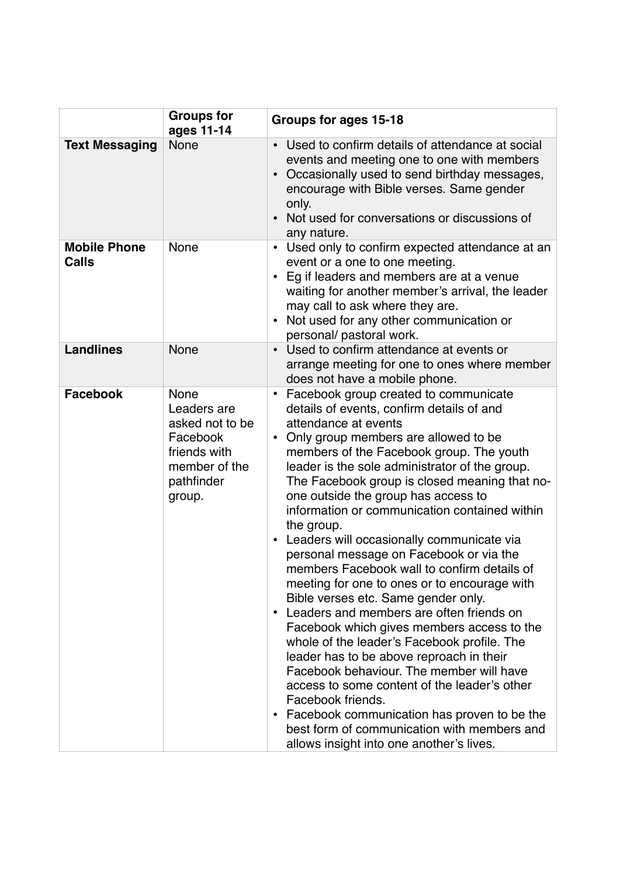|                                     | <b>Groups for</b><br>ages 11-14                                                                             | Groups for ages 15-18                                                                                                                                                                                                                                                                                                                                                                                                                                                                                                                                                                                                                                                                                                                                                                                                                                                                                                                                                                                                                                                                                                             |
|-------------------------------------|-------------------------------------------------------------------------------------------------------------|-----------------------------------------------------------------------------------------------------------------------------------------------------------------------------------------------------------------------------------------------------------------------------------------------------------------------------------------------------------------------------------------------------------------------------------------------------------------------------------------------------------------------------------------------------------------------------------------------------------------------------------------------------------------------------------------------------------------------------------------------------------------------------------------------------------------------------------------------------------------------------------------------------------------------------------------------------------------------------------------------------------------------------------------------------------------------------------------------------------------------------------|
| <b>Text Messaging</b>               | None                                                                                                        | Used to confirm details of attendance at social<br>$\bullet$<br>events and meeting one to one with members<br>Occasionally used to send birthday messages,<br>encourage with Bible verses. Same gender<br>only.<br>Not used for conversations or discussions of<br>any nature.                                                                                                                                                                                                                                                                                                                                                                                                                                                                                                                                                                                                                                                                                                                                                                                                                                                    |
| <b>Mobile Phone</b><br><b>Calls</b> | None                                                                                                        | Used only to confirm expected attendance at an<br>$\bullet$<br>event or a one to one meeting.<br>Eg if leaders and members are at a venue<br>$\bullet$<br>waiting for another member's arrival, the leader<br>may call to ask where they are.<br>Not used for any other communication or<br>$\bullet$<br>personal/ pastoral work.                                                                                                                                                                                                                                                                                                                                                                                                                                                                                                                                                                                                                                                                                                                                                                                                 |
| <b>Landlines</b>                    | None                                                                                                        | Used to confirm attendance at events or<br>arrange meeting for one to ones where member<br>does not have a mobile phone.                                                                                                                                                                                                                                                                                                                                                                                                                                                                                                                                                                                                                                                                                                                                                                                                                                                                                                                                                                                                          |
| <b>Facebook</b>                     | None<br>Leaders are<br>asked not to be<br>Facebook<br>friends with<br>member of the<br>pathfinder<br>group. | Facebook group created to communicate<br>٠<br>details of events, confirm details of and<br>attendance at events<br>Only group members are allowed to be<br>$\bullet$<br>members of the Facebook group. The youth<br>leader is the sole administrator of the group.<br>The Facebook group is closed meaning that no-<br>one outside the group has access to<br>information or communication contained within<br>the group.<br>Leaders will occasionally communicate via<br>$\bullet$<br>personal message on Facebook or via the<br>members Facebook wall to confirm details of<br>meeting for one to ones or to encourage with<br>Bible verses etc. Same gender only.<br>Leaders and members are often friends on<br>$\bullet$<br>Facebook which gives members access to the<br>whole of the leader's Facebook profile. The<br>leader has to be above reproach in their<br>Facebook behaviour. The member will have<br>access to some content of the leader's other<br>Facebook friends.<br>Facebook communication has proven to be the<br>best form of communication with members and<br>allows insight into one another's lives. |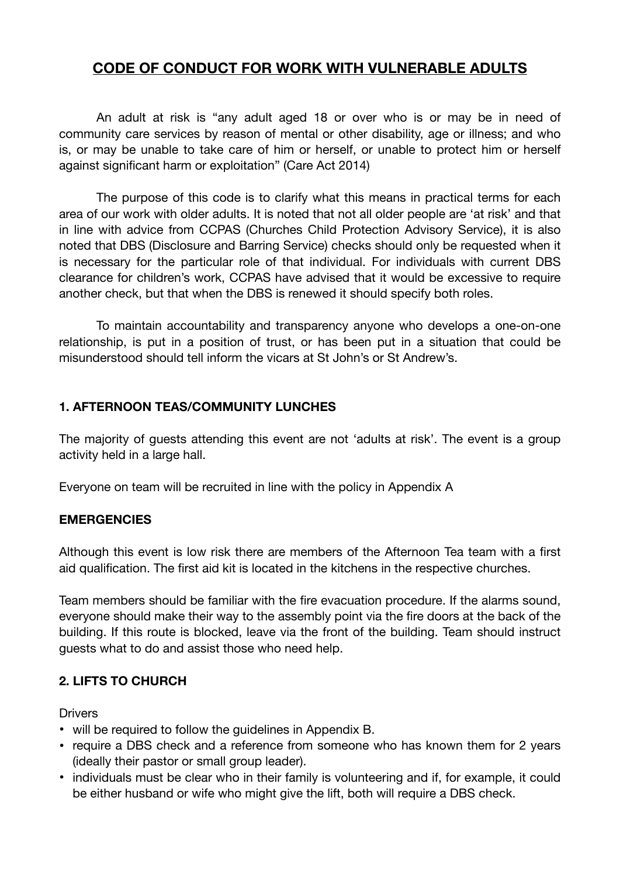# **CODE OF CONDUCT FOR WORK WITH VULNERABLE ADULTS**

An adult at risk is "any adult aged 18 or over who is or may be in need of community care services by reason of mental or other disability, age or illness; and who is, or may be unable to take care of him or herself, or unable to protect him or herself against significant harm or exploitation" (Care Act 2014)

The purpose of this code is to clarify what this means in practical terms for each area of our work with older adults. It is noted that not all older people are 'at risk' and that in line with advice from CCPAS (Churches Child Protection Advisory Service), it is also noted that DBS (Disclosure and Barring Service) checks should only be requested when it is necessary for the particular role of that individual. For individuals with current DBS clearance for children's work, CCPAS have advised that it would be excessive to require another check, but that when the DBS is renewed it should specify both roles.

To maintain accountability and transparency anyone who develops a one-on-one relationship, is put in a position of trust, or has been put in a situation that could be misunderstood should tell inform the vicars at St John's or St Andrew's.

### **1. AFTERNOON TEAS/COMMUNITY LUNCHES**

The majority of guests attending this event are not 'adults at risk'. The event is a group activity held in a large hall.

Everyone on team will be recruited in line with the policy in Appendix A

### **EMERGENCIES**

Although this event is low risk there are members of the Afternoon Tea team with a first aid qualification. The first aid kit is located in the kitchens in the respective churches.

Team members should be familiar with the fire evacuation procedure. If the alarms sound, everyone should make their way to the assembly point via the fire doors at the back of the building. If this route is blocked, leave via the front of the building. Team should instruct guests what to do and assist those who need help.

# **2. LIFTS TO CHURCH**

**Drivers** 

- will be required to follow the guidelines in Appendix B.
- require a DBS check and a reference from someone who has known them for 2 years (ideally their pastor or small group leader).
- individuals must be clear who in their family is volunteering and if, for example, it could be either husband or wife who might give the lift, both will require a DBS check.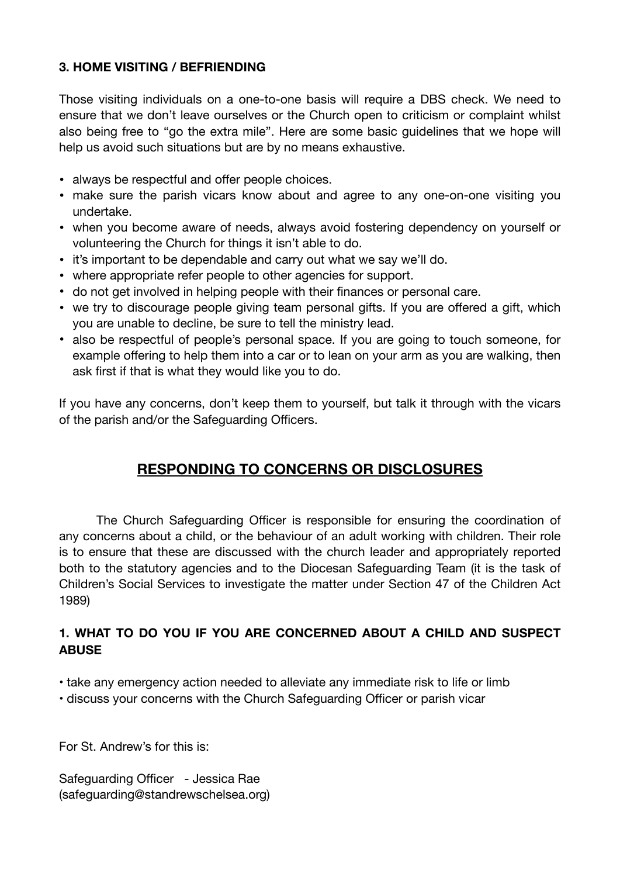## **3. HOME VISITING / BEFRIENDING**

Those visiting individuals on a one-to-one basis will require a DBS check. We need to ensure that we don't leave ourselves or the Church open to criticism or complaint whilst also being free to "go the extra mile". Here are some basic guidelines that we hope will help us avoid such situations but are by no means exhaustive.

- always be respectful and offer people choices.
- make sure the parish vicars know about and agree to any one-on-one visiting you undertake.
- when you become aware of needs, always avoid fostering dependency on yourself or volunteering the Church for things it isn't able to do.
- it's important to be dependable and carry out what we say we'll do.
- where appropriate refer people to other agencies for support.
- do not get involved in helping people with their finances or personal care.
- we try to discourage people giving team personal gifts. If you are offered a gift, which you are unable to decline, be sure to tell the ministry lead.
- also be respectful of people's personal space. If you are going to touch someone, for example offering to help them into a car or to lean on your arm as you are walking, then ask first if that is what they would like you to do.

If you have any concerns, don't keep them to yourself, but talk it through with the vicars of the parish and/or the Safeguarding Officers.

# **RESPONDING TO CONCERNS OR DISCLOSURES**

The Church Safeguarding Officer is responsible for ensuring the coordination of any concerns about a child, or the behaviour of an adult working with children. Their role is to ensure that these are discussed with the church leader and appropriately reported both to the statutory agencies and to the Diocesan Safeguarding Team (it is the task of Children's Social Services to investigate the matter under Section 47 of the Children Act 1989)

## **1. WHAT TO DO YOU IF YOU ARE CONCERNED ABOUT A CHILD AND SUSPECT ABUSE**

- take any emergency action needed to alleviate any immediate risk to life or limb
- discuss your concerns with the Church Safeguarding Officer or parish vicar

For St. Andrew's for this is:

Safeguarding Officer - Jessica Rae (safeguarding@standrewschelsea.org)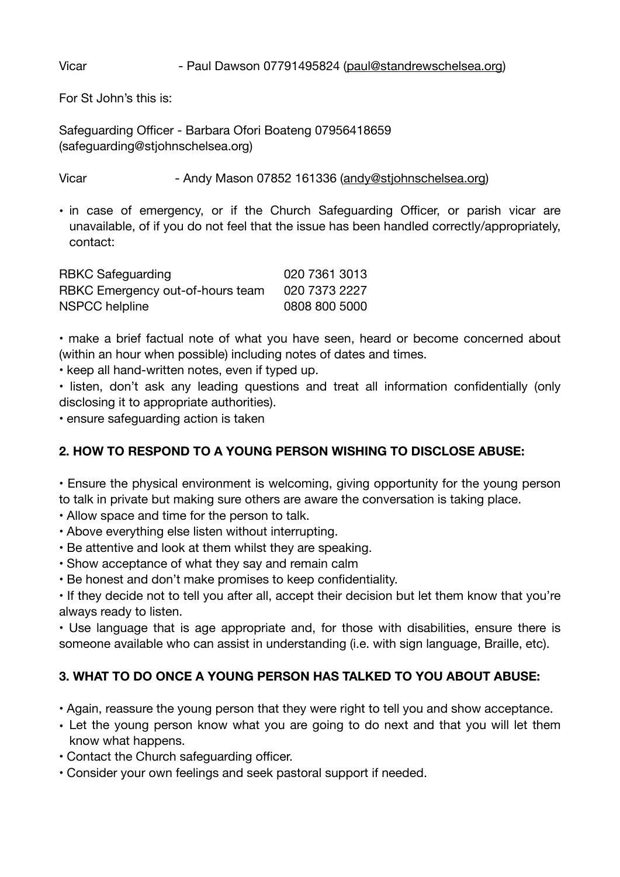### Vicar **The Paul Dawson 07791495824** ([paul@standrewschelsea.org\)](mailto:paul@standrewschelsea.org)

For St John's this is:

Safeguarding Officer - Barbara Ofori Boateng 07956418659 (safeguarding@stjohnschelsea.org)

Vicar **- Andy Mason 07852 161336 ([andy@stjohnschelsea.org](mailto:andy@stjohnschelsea.org))** 

• in case of emergency, or if the Church Safeguarding Officer, or parish vicar are unavailable, of if you do not feel that the issue has been handled correctly/appropriately, contact:

| <b>RBKC Safeguarding</b>         | 020 7361 3013 |
|----------------------------------|---------------|
| RBKC Emergency out-of-hours team | 020 7373 2227 |
| NSPCC helpline                   | 0808 800 5000 |

• make a brief factual note of what you have seen, heard or become concerned about (within an hour when possible) including notes of dates and times.

• keep all hand-written notes, even if typed up.

• listen, don't ask any leading questions and treat all information confidentially (only disclosing it to appropriate authorities).

• ensure safeguarding action is taken

# **2. HOW TO RESPOND TO A YOUNG PERSON WISHING TO DISCLOSE ABUSE:**

• Ensure the physical environment is welcoming, giving opportunity for the young person to talk in private but making sure others are aware the conversation is taking place.

• Allow space and time for the person to talk.

- Above everything else listen without interrupting.
- Be attentive and look at them whilst they are speaking.
- Show acceptance of what they say and remain calm
- Be honest and don't make promises to keep confidentiality.

• If they decide not to tell you after all, accept their decision but let them know that you're always ready to listen.

• Use language that is age appropriate and, for those with disabilities, ensure there is someone available who can assist in understanding (i.e. with sign language, Braille, etc).

# **3. WHAT TO DO ONCE A YOUNG PERSON HAS TALKED TO YOU ABOUT ABUSE:**

- Again, reassure the young person that they were right to tell you and show acceptance.
- Let the young person know what you are going to do next and that you will let them know what happens.
- Contact the Church safeguarding officer.
- Consider your own feelings and seek pastoral support if needed.